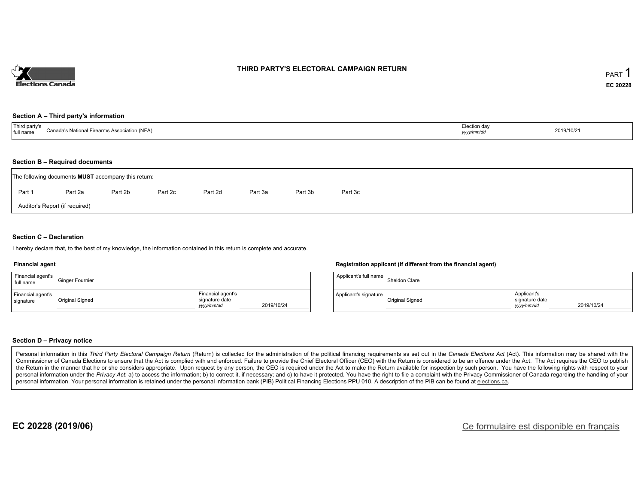

### **THIRD PARTY'S ELECTORAL CAMPAIGN RETURN**

#### **Section A – Third party's information**

| TTL:<br>rd party's<br>ms Association (NFA)<br>`anad<br>s National<br>. Firearr<br>full name | _.ection da∨<br>yyyymm/ao | 2019/10/21 |
|---------------------------------------------------------------------------------------------|---------------------------|------------|
|---------------------------------------------------------------------------------------------|---------------------------|------------|

#### **Section B – Required documents**

|        | The following documents <b>MUST</b> accompany this return: |         |         |         |         |         |         |
|--------|------------------------------------------------------------|---------|---------|---------|---------|---------|---------|
| Part 1 | Part 2a                                                    | Part 2b | Part 2c | Part 2d | Part 3a | Part 3b | Part 3c |
|        | Auditor's Report (if required)                             |         |         |         |         |         |         |

### **Section C – Declaration**

I hereby declare that, to the best of my knowledge, the information contained in this return is complete and accurate.

#### **Financial agent**

| Financial agent's<br>full name | <b>Ginger Fournier</b> |                                                   |            |
|--------------------------------|------------------------|---------------------------------------------------|------------|
| Financial agent's<br>signature | Original Signed        | Financial agent's<br>signature date<br>yyyy/mm/dd | 2019/10/24 |

### **Registration applicant (if different from the financial agent)**

| Applicant's full name | Sheldon Clare   |                                             |            |
|-----------------------|-----------------|---------------------------------------------|------------|
| Applicant's signature | Original Signed | Applicant's<br>signature date<br>vyyy/mm/dd | 2019/10/24 |

#### **Section D – Privacy notice**

Personal information in this Third Party Electoral Campaign Return (Return) is collected for the administration of the political financing requirements as set out in the Canada Elections Act (Act). This information may be Commissioner of Canada Elections to ensure that the Act is complied with and enforced. Failure to provide the Chief Electoral Officer (CEO) with the Return is considered to be an offence under the Act. The Act requires the the Return in the manner that he or she considers appropriate. Upon request by any person, the CEO is required under the Act to make the Return available for inspection by such person. You have the following rights with re personal information under the Privacy Act. a) to access the information; b) to correct it, if necessary; and c) to have it protected. You have the right to file a complaint with the Privacy Commissioner of Canada regardin personal information. Your personal information is retained under the personal information bank (PIB) Political Financing Elections PPU 010. A description of the PIB can be found at elections.ca.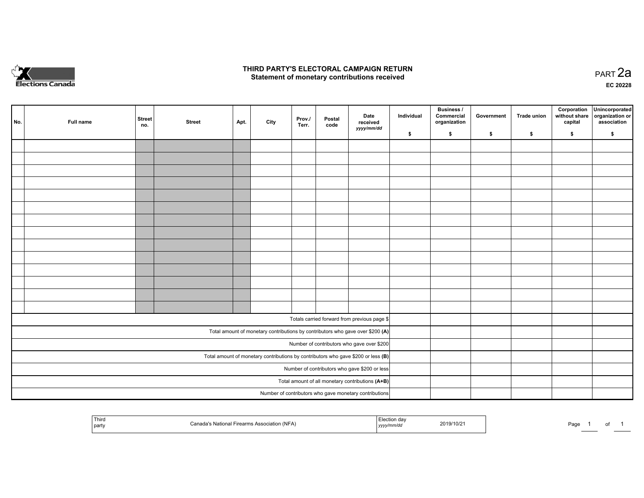

## **THIRD PARTY'S ELECTORAL CAMPAIGN RETURN HIRD PARTY'S ELECTORAL CAMPAIGN RETURN<br>Statement of monetary contributions received PART 2a PART 2a**

**EC 20228**

| No. | Full name | <b>Street</b><br>no. | <b>Street</b> | Apt. | City | Prov./<br>Terr. | Postal<br>code | Date<br>received<br>yyyy/mm/dd                                                      | Individual | Business /<br>Commercial<br>organization | Government | Trade union | Corporation<br>without share<br>capital | Unincorporated<br>organization or<br>association |
|-----|-----------|----------------------|---------------|------|------|-----------------|----------------|-------------------------------------------------------------------------------------|------------|------------------------------------------|------------|-------------|-----------------------------------------|--------------------------------------------------|
|     |           |                      |               |      |      |                 |                |                                                                                     | \$         | \$                                       | \$         | \$          | \$                                      | \$                                               |
|     |           |                      |               |      |      |                 |                |                                                                                     |            |                                          |            |             |                                         |                                                  |
|     |           |                      |               |      |      |                 |                |                                                                                     |            |                                          |            |             |                                         |                                                  |
|     |           |                      |               |      |      |                 |                |                                                                                     |            |                                          |            |             |                                         |                                                  |
|     |           |                      |               |      |      |                 |                |                                                                                     |            |                                          |            |             |                                         |                                                  |
|     |           |                      |               |      |      |                 |                |                                                                                     |            |                                          |            |             |                                         |                                                  |
|     |           |                      |               |      |      |                 |                |                                                                                     |            |                                          |            |             |                                         |                                                  |
|     |           |                      |               |      |      |                 |                |                                                                                     |            |                                          |            |             |                                         |                                                  |
|     |           |                      |               |      |      |                 |                |                                                                                     |            |                                          |            |             |                                         |                                                  |
|     |           |                      |               |      |      |                 |                |                                                                                     |            |                                          |            |             |                                         |                                                  |
|     |           |                      |               |      |      |                 |                |                                                                                     |            |                                          |            |             |                                         |                                                  |
|     |           |                      |               |      |      |                 |                |                                                                                     |            |                                          |            |             |                                         |                                                  |
|     |           |                      |               |      |      |                 |                |                                                                                     |            |                                          |            |             |                                         |                                                  |
|     |           |                      |               |      |      |                 |                |                                                                                     |            |                                          |            |             |                                         |                                                  |
|     |           |                      |               |      |      |                 |                |                                                                                     |            |                                          |            |             |                                         |                                                  |
|     |           |                      |               |      |      |                 |                |                                                                                     |            |                                          |            |             |                                         |                                                  |
|     |           |                      |               |      |      |                 |                | Totals carried forward from previous page \$                                        |            |                                          |            |             |                                         |                                                  |
|     |           |                      |               |      |      |                 |                | Total amount of monetary contributions by contributors who gave over \$200 (A)      |            |                                          |            |             |                                         |                                                  |
|     |           |                      |               |      |      |                 |                | Number of contributors who gave over \$200                                          |            |                                          |            |             |                                         |                                                  |
|     |           |                      |               |      |      |                 |                | Total amount of monetary contributions by contributors who gave \$200 or less $(B)$ |            |                                          |            |             |                                         |                                                  |
|     |           |                      |               |      |      |                 |                | Number of contributors who gave \$200 or less                                       |            |                                          |            |             |                                         |                                                  |
|     |           |                      |               |      |      |                 |                | Total amount of all monetary contributions (A+B)                                    |            |                                          |            |             |                                         |                                                  |
|     |           |                      |               |      |      |                 |                | Number of contributors who gave monetary contributions                              |            |                                          |            |             |                                         |                                                  |

|  | Third<br>  party | …a⊢Firearm∈<br><sub>ີ</sub> Association (NFA)<br>лы<br>ıчн | da<br>,,,, | 2019/10/2 | Page |  | . |  |
|--|------------------|------------------------------------------------------------|------------|-----------|------|--|---|--|
|--|------------------|------------------------------------------------------------|------------|-----------|------|--|---|--|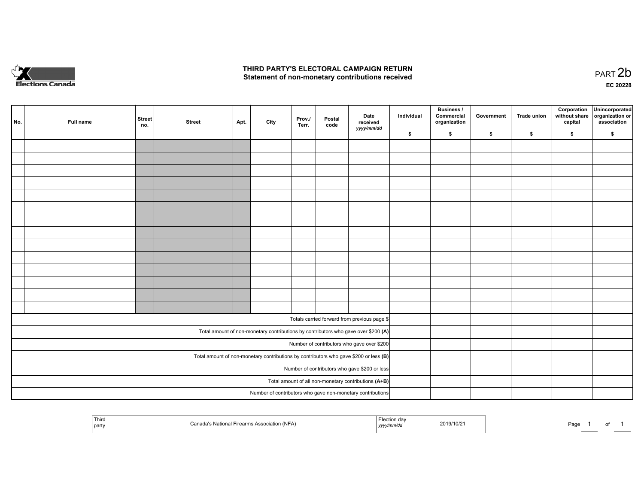

## **THIRD PARTY'S ELECTORAL CAMPAIGN RETURN**  THIRD PARTY'S ELECTORAL CAMPAIGN RETURN<br>Statement of non-monetary contributions received

of 1

| No. | Full name | <b>Street</b><br>no. | <b>Street</b> | Apt. | City | Prov./<br>Terr. | Postal<br>code | Date<br>received<br>yyyy/mm/dd                                                          | Individual | <b>Business /</b><br>Commercial<br>organization | Government | Trade union | Corporation<br>without share<br>capital | Unincorporated<br>organization or<br>association |
|-----|-----------|----------------------|---------------|------|------|-----------------|----------------|-----------------------------------------------------------------------------------------|------------|-------------------------------------------------|------------|-------------|-----------------------------------------|--------------------------------------------------|
|     |           |                      |               |      |      |                 |                |                                                                                         | \$         | \$                                              | \$         | \$          | \$                                      | \$                                               |
|     |           |                      |               |      |      |                 |                |                                                                                         |            |                                                 |            |             |                                         |                                                  |
|     |           |                      |               |      |      |                 |                |                                                                                         |            |                                                 |            |             |                                         |                                                  |
|     |           |                      |               |      |      |                 |                |                                                                                         |            |                                                 |            |             |                                         |                                                  |
|     |           |                      |               |      |      |                 |                |                                                                                         |            |                                                 |            |             |                                         |                                                  |
|     |           |                      |               |      |      |                 |                |                                                                                         |            |                                                 |            |             |                                         |                                                  |
|     |           |                      |               |      |      |                 |                |                                                                                         |            |                                                 |            |             |                                         |                                                  |
|     |           |                      |               |      |      |                 |                |                                                                                         |            |                                                 |            |             |                                         |                                                  |
|     |           |                      |               |      |      |                 |                |                                                                                         |            |                                                 |            |             |                                         |                                                  |
|     |           |                      |               |      |      |                 |                |                                                                                         |            |                                                 |            |             |                                         |                                                  |
|     |           |                      |               |      |      |                 |                |                                                                                         |            |                                                 |            |             |                                         |                                                  |
|     |           |                      |               |      |      |                 |                |                                                                                         |            |                                                 |            |             |                                         |                                                  |
|     |           |                      |               |      |      |                 |                |                                                                                         |            |                                                 |            |             |                                         |                                                  |
|     |           |                      |               |      |      |                 |                |                                                                                         |            |                                                 |            |             |                                         |                                                  |
|     |           |                      |               |      |      |                 |                |                                                                                         |            |                                                 |            |             |                                         |                                                  |
|     |           |                      |               |      |      |                 |                |                                                                                         |            |                                                 |            |             |                                         |                                                  |
|     |           |                      |               |      |      |                 |                | Totals carried forward from previous page \$                                            |            |                                                 |            |             |                                         |                                                  |
|     |           |                      |               |      |      |                 |                | Total amount of non-monetary contributions by contributors who gave over \$200 (A)      |            |                                                 |            |             |                                         |                                                  |
|     |           |                      |               |      |      |                 |                | Number of contributors who gave over \$200                                              |            |                                                 |            |             |                                         |                                                  |
|     |           |                      |               |      |      |                 |                | Total amount of non-monetary contributions by contributors who gave \$200 or less $(B)$ |            |                                                 |            |             |                                         |                                                  |
|     |           |                      |               |      |      |                 |                | Number of contributors who gave \$200 or less                                           |            |                                                 |            |             |                                         |                                                  |
|     |           |                      |               |      |      |                 |                | Total amount of all non-monetary contributions (A+B)                                    |            |                                                 |            |             |                                         |                                                  |
|     |           |                      |               |      |      |                 |                | Number of contributors who gave non-monetary contributions                              |            |                                                 |            |             |                                         |                                                  |
|     |           |                      |               |      |      |                 |                |                                                                                         |            |                                                 |            |             |                                         |                                                  |

| Third<br>part | 2019/10/2<br>. | <b>Do</b><br>aur |
|---------------|----------------|------------------|
|---------------|----------------|------------------|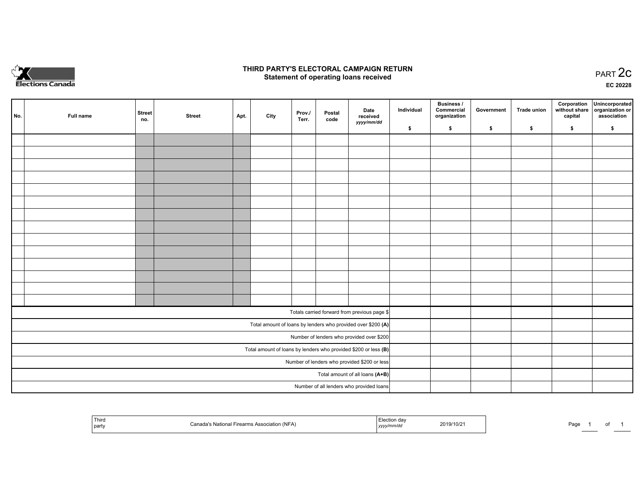

## **THIRD PARTY'S ELECTORAL CAMPAIGN RETURN STATE:** PRACT OF OPPRESS TO PART 2C STATE STATE STATE STATE STATE STATE STATE STATE STATE STATE STATE STATE STA<br>PART 2C Statement of operating loans received

**EC 20228**

| No. | Full name | <b>Street</b><br>no. | <b>Street</b> | Apt. | City | Prov./<br>Terr. | Postal<br>code | Date<br>received                                                | Individual | <b>Business /</b><br>Commercial<br>organization | Government | <b>Trade union</b> | Corporation<br>capital | Unincorporated<br>without share   organization or<br>association |
|-----|-----------|----------------------|---------------|------|------|-----------------|----------------|-----------------------------------------------------------------|------------|-------------------------------------------------|------------|--------------------|------------------------|------------------------------------------------------------------|
|     |           |                      |               |      |      |                 |                | yyyy/mm/dd                                                      | \$         | \$                                              | \$         | \$                 | \$                     | \$                                                               |
|     |           |                      |               |      |      |                 |                |                                                                 |            |                                                 |            |                    |                        |                                                                  |
|     |           |                      |               |      |      |                 |                |                                                                 |            |                                                 |            |                    |                        |                                                                  |
|     |           |                      |               |      |      |                 |                |                                                                 |            |                                                 |            |                    |                        |                                                                  |
|     |           |                      |               |      |      |                 |                |                                                                 |            |                                                 |            |                    |                        |                                                                  |
|     |           |                      |               |      |      |                 |                |                                                                 |            |                                                 |            |                    |                        |                                                                  |
|     |           |                      |               |      |      |                 |                |                                                                 |            |                                                 |            |                    |                        |                                                                  |
|     |           |                      |               |      |      |                 |                |                                                                 |            |                                                 |            |                    |                        |                                                                  |
|     |           |                      |               |      |      |                 |                |                                                                 |            |                                                 |            |                    |                        |                                                                  |
|     |           |                      |               |      |      |                 |                |                                                                 |            |                                                 |            |                    |                        |                                                                  |
|     |           |                      |               |      |      |                 |                |                                                                 |            |                                                 |            |                    |                        |                                                                  |
|     |           |                      |               |      |      |                 |                |                                                                 |            |                                                 |            |                    |                        |                                                                  |
|     |           |                      |               |      |      |                 |                |                                                                 |            |                                                 |            |                    |                        |                                                                  |
|     |           |                      |               |      |      |                 |                |                                                                 |            |                                                 |            |                    |                        |                                                                  |
|     |           |                      |               |      |      |                 |                |                                                                 |            |                                                 |            |                    |                        |                                                                  |
|     |           |                      |               |      |      |                 |                | Totals carried forward from previous page \$                    |            |                                                 |            |                    |                        |                                                                  |
|     |           |                      |               |      |      |                 |                | Total amount of loans by lenders who provided over \$200 (A)    |            |                                                 |            |                    |                        |                                                                  |
|     |           |                      |               |      |      |                 |                | Number of lenders who provided over \$200                       |            |                                                 |            |                    |                        |                                                                  |
|     |           |                      |               |      |      |                 |                | Total amount of loans by lenders who provided \$200 or less (B) |            |                                                 |            |                    |                        |                                                                  |
|     |           |                      |               |      |      |                 |                | Number of lenders who provided \$200 or less                    |            |                                                 |            |                    |                        |                                                                  |
|     |           |                      |               |      |      |                 |                | Total amount of all loans (A+B)                                 |            |                                                 |            |                    |                        |                                                                  |
|     |           |                      |               |      |      |                 |                | Number of all lenders who provided loans                        |            |                                                 |            |                    |                        |                                                                  |

| <sup>1</sup> Thiro<br>` partv | Firearms Association (NFA)<br>่ะ National F | Liection dav<br>″mm⁄a∟<br>1' | 2019/10/21 | Page | U. |
|-------------------------------|---------------------------------------------|------------------------------|------------|------|----|
|-------------------------------|---------------------------------------------|------------------------------|------------|------|----|

Page 1 of 1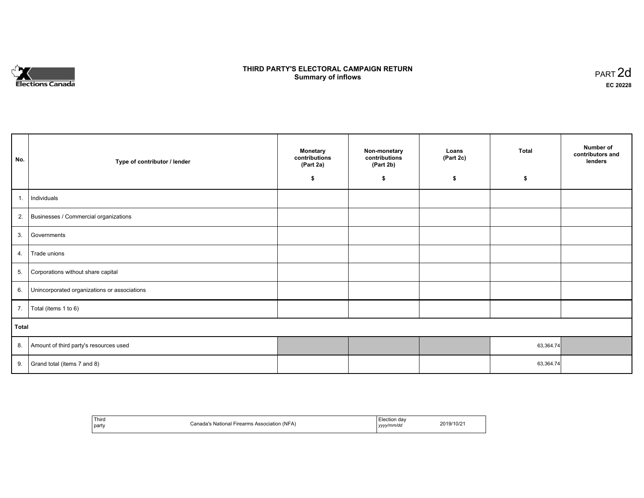

# **THIRD PARTY'S ELECTORAL CAMPAIGN RETURN S** ELECTORAL CAMPAIGN RETURN<br>Summary of inflows PART 2d

| No.   | Type of contributor / lender                 | <b>Monetary</b><br>contributions<br>(Part 2a) | Non-monetary<br>contributions<br>(Part 2b)<br>\$ | Loans<br>(Part 2c)<br>\$ | <b>Total</b><br>\$ | Number of<br>contributors and<br>lenders |
|-------|----------------------------------------------|-----------------------------------------------|--------------------------------------------------|--------------------------|--------------------|------------------------------------------|
|       |                                              | \$                                            |                                                  |                          |                    |                                          |
| 1.    | Individuals                                  |                                               |                                                  |                          |                    |                                          |
|       | 2. Businesses / Commercial organizations     |                                               |                                                  |                          |                    |                                          |
| 3.    | Governments                                  |                                               |                                                  |                          |                    |                                          |
| 4.    | Trade unions                                 |                                               |                                                  |                          |                    |                                          |
| 5.    | Corporations without share capital           |                                               |                                                  |                          |                    |                                          |
| 6.    | Unincorporated organizations or associations |                                               |                                                  |                          |                    |                                          |
| 7.    | Total (items 1 to 6)                         |                                               |                                                  |                          |                    |                                          |
| Total |                                              |                                               |                                                  |                          |                    |                                          |
| 8.    | Amount of third party's resources used       |                                               |                                                  |                          | 63,364.74          |                                          |
| 9.    | Grand total (items 7 and 8)                  |                                               |                                                  |                          | 63,364.74          |                                          |

| 2019/10/2<br>$\cdot$ (NFA.<br>National<br>√`anada'∘<br>. Association<br>irearms.<br>.<br>party<br>yyyy/mm/dd | ' Third | Election dav |
|--------------------------------------------------------------------------------------------------------------|---------|--------------|
|--------------------------------------------------------------------------------------------------------------|---------|--------------|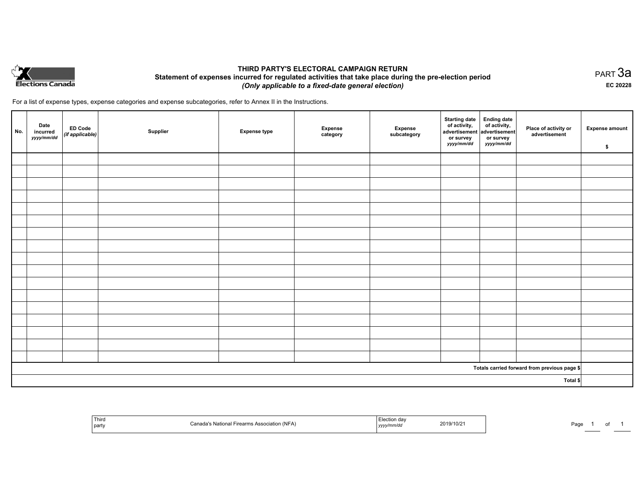

# **THIRD PARTY'S ELECTORAL CAMPAIGN RETURN Statement of expenses incurred for regulated activities that take place during the pre-election period**  *(Only applicable to a fixed-date general election)*

PART 3a **EC 20228**

For a list of expense types, expense categories and expense subcategories, refer to Annex II in the Instructions.

| No.      | Date<br>incurred<br>yyyy/mm/dd | ED Code<br>(if applicable) | Supplier | <b>Expense type</b> | Expense<br>category | Expense<br>subcategory | <b>Starting date</b><br>of activity,<br>advertisement<br>or survey<br><i>yyyy/mm/dd</i> | Ending date<br>of activity,<br>advertisement<br>or survey<br>yyyy/mm/dd | Place of activity or<br>advertisement        | Expense amount<br>\$ |
|----------|--------------------------------|----------------------------|----------|---------------------|---------------------|------------------------|-----------------------------------------------------------------------------------------|-------------------------------------------------------------------------|----------------------------------------------|----------------------|
|          |                                |                            |          |                     |                     |                        |                                                                                         |                                                                         |                                              |                      |
|          |                                |                            |          |                     |                     |                        |                                                                                         |                                                                         |                                              |                      |
|          |                                |                            |          |                     |                     |                        |                                                                                         |                                                                         |                                              |                      |
|          |                                |                            |          |                     |                     |                        |                                                                                         |                                                                         |                                              |                      |
|          |                                |                            |          |                     |                     |                        |                                                                                         |                                                                         |                                              |                      |
|          |                                |                            |          |                     |                     |                        |                                                                                         |                                                                         |                                              |                      |
|          |                                |                            |          |                     |                     |                        |                                                                                         |                                                                         |                                              |                      |
|          |                                |                            |          |                     |                     |                        |                                                                                         |                                                                         |                                              |                      |
|          |                                |                            |          |                     |                     |                        |                                                                                         |                                                                         |                                              |                      |
|          |                                |                            |          |                     |                     |                        |                                                                                         |                                                                         |                                              |                      |
|          |                                |                            |          |                     |                     |                        |                                                                                         |                                                                         |                                              |                      |
|          |                                |                            |          |                     |                     |                        |                                                                                         |                                                                         |                                              |                      |
|          |                                |                            |          |                     |                     |                        |                                                                                         |                                                                         |                                              |                      |
|          |                                |                            |          |                     |                     |                        |                                                                                         |                                                                         |                                              |                      |
|          |                                |                            |          |                     |                     |                        |                                                                                         |                                                                         |                                              |                      |
|          |                                |                            |          |                     |                     |                        |                                                                                         |                                                                         |                                              |                      |
|          |                                |                            |          |                     |                     |                        |                                                                                         |                                                                         |                                              |                      |
|          |                                |                            |          |                     |                     |                        |                                                                                         |                                                                         | Totals carried forward from previous page \$ |                      |
| Total \$ |                                |                            |          |                     |                     |                        |                                                                                         |                                                                         |                                              |                      |

| Third<br>  party | iation (NFA) | n da<br>2019/10/2<br>.,,,,,,,<br>the contract of the contract of the contract of the contract of the contract of<br>, <i>, , , ,</i> | Paα€<br>OT |
|------------------|--------------|--------------------------------------------------------------------------------------------------------------------------------------|------------|
|------------------|--------------|--------------------------------------------------------------------------------------------------------------------------------------|------------|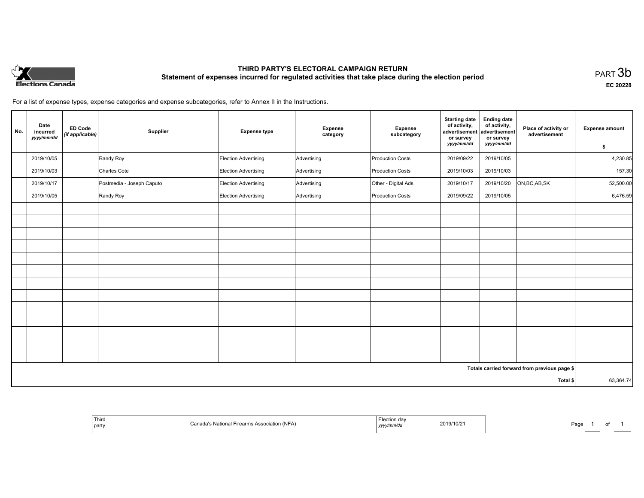

# **THIRD PARTY'S ELECTORAL CAMPAIGN RETURN Statement of expenses incurred for regulated activities that take place during the election period**<br>PART  $3b$

**EC 20228**

For a list of expense types, expense categories and expense subcategories, refer to Annex II in the Instructions.

| No.      | Date<br>incurred<br>yyyy/mm/dd | <b>ED Code</b><br>(if applicable) | Supplier                  | <b>Expense type</b>         | <b>Expense</b><br>category | Expense<br>subcategory  | <b>Starting date</b><br>of activity,<br>advertisement<br>or survey | <b>Ending date</b><br>of activity,<br>advertisement<br>or survey | Place of activity or<br>advertisement        | <b>Expense amount</b> |
|----------|--------------------------------|-----------------------------------|---------------------------|-----------------------------|----------------------------|-------------------------|--------------------------------------------------------------------|------------------------------------------------------------------|----------------------------------------------|-----------------------|
|          |                                |                                   |                           |                             |                            |                         | yyyy/mm/dd                                                         | yyyy/mm/dd                                                       |                                              | \$                    |
|          | 2019/10/05                     |                                   | Randy Roy                 | Election Advertising        | Advertising                | <b>Production Costs</b> | 2019/09/22                                                         | 2019/10/05                                                       |                                              | 4,230.85              |
|          | 2019/10/03                     |                                   | Charles Cote              | <b>Election Advertising</b> | Advertising                | <b>Production Costs</b> | 2019/10/03                                                         | 2019/10/03                                                       |                                              | 157.30                |
|          | 2019/10/17                     |                                   | Postmedia - Joseph Caputo | Election Advertising        | Advertising                | Other - Digital Ads     | 2019/10/17                                                         | 2019/10/20                                                       | ON, BC, AB, SK                               | 52,500.00             |
|          | 2019/10/05                     |                                   | Randy Roy                 | Election Advertising        | Advertising                | Production Costs        | 2019/09/22                                                         | 2019/10/05                                                       |                                              | 6,476.59              |
|          |                                |                                   |                           |                             |                            |                         |                                                                    |                                                                  |                                              |                       |
|          |                                |                                   |                           |                             |                            |                         |                                                                    |                                                                  |                                              |                       |
|          |                                |                                   |                           |                             |                            |                         |                                                                    |                                                                  |                                              |                       |
|          |                                |                                   |                           |                             |                            |                         |                                                                    |                                                                  |                                              |                       |
|          |                                |                                   |                           |                             |                            |                         |                                                                    |                                                                  |                                              |                       |
|          |                                |                                   |                           |                             |                            |                         |                                                                    |                                                                  |                                              |                       |
|          |                                |                                   |                           |                             |                            |                         |                                                                    |                                                                  |                                              |                       |
|          |                                |                                   |                           |                             |                            |                         |                                                                    |                                                                  |                                              |                       |
|          |                                |                                   |                           |                             |                            |                         |                                                                    |                                                                  |                                              |                       |
|          |                                |                                   |                           |                             |                            |                         |                                                                    |                                                                  |                                              |                       |
|          |                                |                                   |                           |                             |                            |                         |                                                                    |                                                                  |                                              |                       |
|          |                                |                                   |                           |                             |                            |                         |                                                                    |                                                                  |                                              |                       |
|          |                                |                                   |                           |                             |                            |                         |                                                                    |                                                                  |                                              |                       |
|          |                                |                                   |                           |                             |                            |                         |                                                                    |                                                                  | Totals carried forward from previous page \$ |                       |
| Total \$ |                                |                                   |                           |                             |                            |                         | 63,364.74                                                          |                                                                  |                                              |                       |

| Thir<br>,,,,,u<br>part | $\sim$<br>`n n<br>$INF\Delta$ | dav<br>2019/10/2<br>,,,,,<br>$\sim$ $\sim$<br>. | Page<br>. |
|------------------------|-------------------------------|-------------------------------------------------|-----------|
|------------------------|-------------------------------|-------------------------------------------------|-----------|